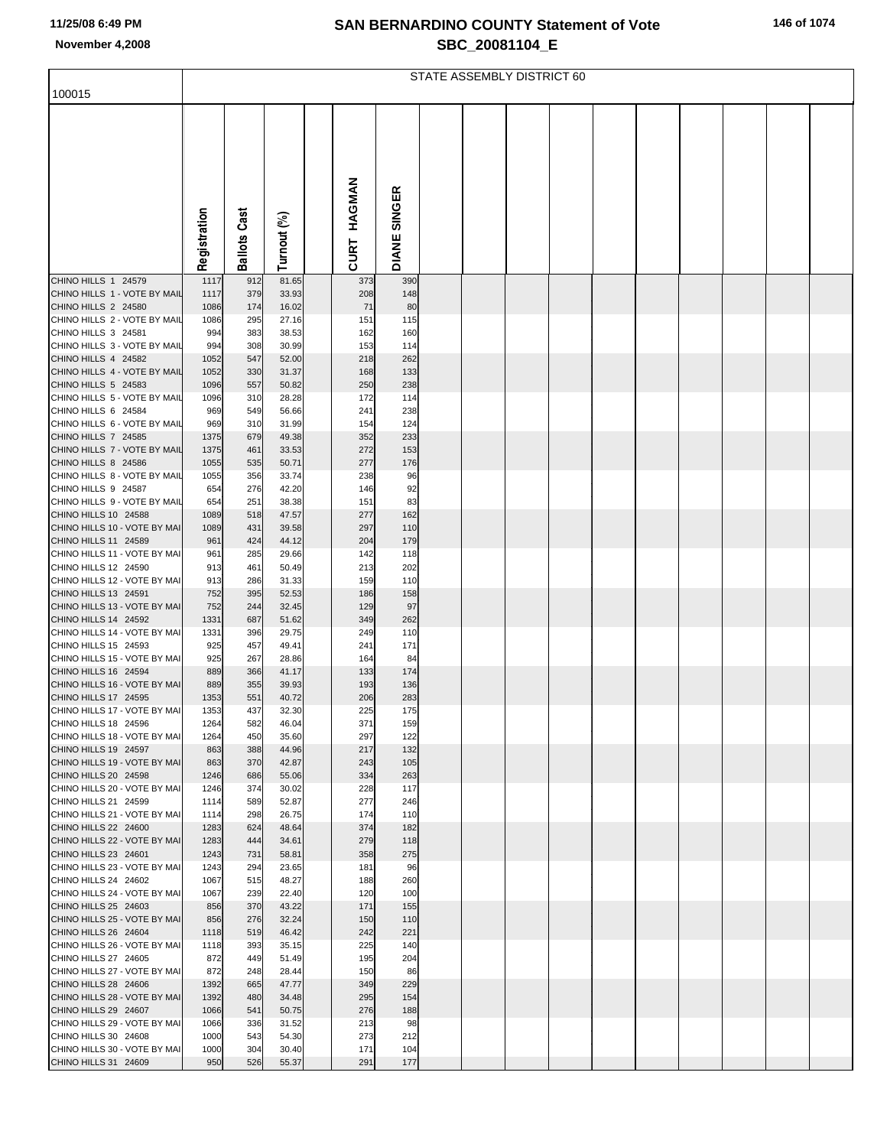## **SAN BERNARDINO COUNTY Statement of Vote November 4,2008 SBC\_20081104\_E**

|  |  | 146 of 1074 |  |
|--|--|-------------|--|
|--|--|-------------|--|

|                                                      | STATE ASSEMBLY DISTRICT 60 |                     |                |  |                |              |  |  |  |  |  |  |  |  |
|------------------------------------------------------|----------------------------|---------------------|----------------|--|----------------|--------------|--|--|--|--|--|--|--|--|
| 100015                                               |                            |                     |                |  |                |              |  |  |  |  |  |  |  |  |
|                                                      | Registration               | <b>Ballots Cast</b> | Turnout (%)    |  | HAGMAN<br>CURT | DIANE SINGER |  |  |  |  |  |  |  |  |
| CHINO HILLS 1 24579                                  | 1117                       | 912                 | 81.65          |  | 373            | 390          |  |  |  |  |  |  |  |  |
| CHINO HILLS 1 - VOTE BY MAIL                         | 1117                       | 379                 | 33.93          |  | 208            | 148          |  |  |  |  |  |  |  |  |
| CHINO HILLS 2 24580<br>CHINO HILLS 2 - VOTE BY MAIL  | 1086                       | 174                 | 16.02          |  | 71             | 80           |  |  |  |  |  |  |  |  |
| CHINO HILLS 3 24581                                  | 1086<br>994                | 295<br>383          | 27.16<br>38.53 |  | 151<br>162     | 115<br>160   |  |  |  |  |  |  |  |  |
| CHINO HILLS 3 - VOTE BY MAIL                         | 994                        | 308                 | 30.99          |  | 153            | 114          |  |  |  |  |  |  |  |  |
| CHINO HILLS 4 24582                                  | 1052                       | 547                 | 52.00          |  | 218            | 262          |  |  |  |  |  |  |  |  |
| CHINO HILLS 4 - VOTE BY MAIL                         | 1052                       | 330                 | 31.37          |  | 168            | 133          |  |  |  |  |  |  |  |  |
| CHINO HILLS 5 24583                                  | 1096                       | 557                 | 50.82          |  | 250            | 238          |  |  |  |  |  |  |  |  |
| CHINO HILLS 5 - VOTE BY MAIL<br>CHINO HILLS 6 24584  | 1096<br>969                | 310<br>549          | 28.28<br>56.66 |  | 172<br>241     | 114<br>238   |  |  |  |  |  |  |  |  |
| CHINO HILLS 6 - VOTE BY MAIL                         | 969                        | 310                 | 31.99          |  | 154            | 124          |  |  |  |  |  |  |  |  |
| CHINO HILLS 7 24585                                  | 1375                       | 679                 | 49.38          |  | 352            | 233          |  |  |  |  |  |  |  |  |
| CHINO HILLS 7 - VOTE BY MAIL                         | 1375                       | 461                 | 33.53          |  | 272            | 153          |  |  |  |  |  |  |  |  |
| CHINO HILLS 8 24586                                  | 1055                       | 535                 | 50.71          |  | 277            | 176          |  |  |  |  |  |  |  |  |
| CHINO HILLS 8 - VOTE BY MAIL<br>CHINO HILLS 9 24587  | 1055<br>654                | 356<br>276          | 33.74<br>42.20 |  | 238<br>146     | 96<br>92     |  |  |  |  |  |  |  |  |
| CHINO HILLS 9 - VOTE BY MAIL                         | 654                        | 251                 | 38.38          |  | 151            | 83           |  |  |  |  |  |  |  |  |
| CHINO HILLS 10 24588                                 | 1089                       | 518                 | 47.57          |  | 277            | 162          |  |  |  |  |  |  |  |  |
| CHINO HILLS 10 - VOTE BY MAI                         | 1089                       | 431                 | 39.58          |  | 297            | 110          |  |  |  |  |  |  |  |  |
| CHINO HILLS 11 24589                                 | 961                        | 424                 | 44.12          |  | 204            | 179          |  |  |  |  |  |  |  |  |
| CHINO HILLS 11 - VOTE BY MAI<br>CHINO HILLS 12 24590 | 961<br>913                 | 285<br>461          | 29.66<br>50.49 |  | 142<br>213     | 118<br>202   |  |  |  |  |  |  |  |  |
| CHINO HILLS 12 - VOTE BY MAI                         | 913                        | 286                 | 31.33          |  | 159            | 110          |  |  |  |  |  |  |  |  |
| CHINO HILLS 13 24591                                 | 752                        | 395                 | 52.53          |  | 186            | 158          |  |  |  |  |  |  |  |  |
| CHINO HILLS 13 - VOTE BY MAI                         | 752                        | 244                 | 32.45          |  | 129            | 97           |  |  |  |  |  |  |  |  |
| CHINO HILLS 14 24592<br>CHINO HILLS 14 - VOTE BY MAI | 1331<br>1331               | 687<br>396          | 51.62<br>29.75 |  | 349<br>249     | 262<br>110   |  |  |  |  |  |  |  |  |
| CHINO HILLS 15 24593                                 | 925                        | 457                 | 49.41          |  | 241            | 171          |  |  |  |  |  |  |  |  |
| CHINO HILLS 15 - VOTE BY MAI                         | 925                        | 267                 | 28.86          |  | 164            | 84           |  |  |  |  |  |  |  |  |
| CHINO HILLS 16 24594                                 | 889                        | 366                 | 41.17          |  | 133            | 174          |  |  |  |  |  |  |  |  |
| CHINO HILLS 16 - VOTE BY MAI                         | 889                        | 355                 | 39.93          |  | 193            | 136          |  |  |  |  |  |  |  |  |
| CHINO HILLS 17 24595<br>CHINO HILLS 17 - VOTE BY MAI | 1353<br>1353               | 551<br>437          | 40.72<br>32.30 |  | 206<br>225     | 283<br>175   |  |  |  |  |  |  |  |  |
| CHINO HILLS 18 24596                                 | 1264                       | 582                 | 46.04          |  | 371            | 159          |  |  |  |  |  |  |  |  |
| CHINO HILLS 18 - VOTE BY MAI                         | 1264                       | 450                 | 35.60          |  | 297            | 122          |  |  |  |  |  |  |  |  |
| CHINO HILLS 19 24597                                 | 863                        | 388                 | 44.96          |  | 217            | 132          |  |  |  |  |  |  |  |  |
| CHINO HILLS 19 - VOTE BY MAI<br>CHINO HILLS 20 24598 | 863                        | 370                 | 42.87          |  | 243<br>334     | 105<br>263   |  |  |  |  |  |  |  |  |
| CHINO HILLS 20 - VOTE BY MAI                         | 1246<br>1246               | 686<br>374          | 55.06<br>30.02 |  | 228            | 117          |  |  |  |  |  |  |  |  |
| CHINO HILLS 21 24599                                 | 1114                       | 589                 | 52.87          |  | 277            | 246          |  |  |  |  |  |  |  |  |
| CHINO HILLS 21 - VOTE BY MAI                         | 1114                       | 298                 | 26.75          |  | 174            | 110          |  |  |  |  |  |  |  |  |
| CHINO HILLS 22 24600                                 | 1283                       | 624                 | 48.64          |  | 374            | 182          |  |  |  |  |  |  |  |  |
| CHINO HILLS 22 - VOTE BY MAI<br>CHINO HILLS 23 24601 | 1283<br>1243               | 444<br>731          | 34.61<br>58.81 |  | 279<br>358     | 118<br>275   |  |  |  |  |  |  |  |  |
| CHINO HILLS 23 - VOTE BY MAI                         | 1243                       | 294                 | 23.65          |  | 181            | 96           |  |  |  |  |  |  |  |  |
| CHINO HILLS 24 24602                                 | 1067                       | 515                 | 48.27          |  | 188            | 260          |  |  |  |  |  |  |  |  |
| CHINO HILLS 24 - VOTE BY MAI                         | 1067                       | 239                 | 22.40          |  | 120            | 100          |  |  |  |  |  |  |  |  |
| CHINO HILLS 25 24603                                 | 856                        | 370                 | 43.22          |  | 171            | 155          |  |  |  |  |  |  |  |  |
| CHINO HILLS 25 - VOTE BY MAI<br>CHINO HILLS 26 24604 | 856<br>1118                | 276<br>519          | 32.24<br>46.42 |  | 150<br>242     | 110<br>221   |  |  |  |  |  |  |  |  |
| CHINO HILLS 26 - VOTE BY MAI                         | 1118                       | 393                 | 35.15          |  | 225            | 140          |  |  |  |  |  |  |  |  |
| CHINO HILLS 27 24605                                 | 872                        | 449                 | 51.49          |  | 195            | 204          |  |  |  |  |  |  |  |  |
| CHINO HILLS 27 - VOTE BY MAI                         | 872                        | 248                 | 28.44          |  | 150            | 86           |  |  |  |  |  |  |  |  |
| CHINO HILLS 28 24606                                 | 1392                       | 665                 | 47.77          |  | 349            | 229          |  |  |  |  |  |  |  |  |
| CHINO HILLS 28 - VOTE BY MAI<br>CHINO HILLS 29 24607 | 1392<br>1066               | 480<br>541          | 34.48<br>50.75 |  | 295<br>276     | 154<br>188   |  |  |  |  |  |  |  |  |
| CHINO HILLS 29 - VOTE BY MAI                         | 1066                       | 336                 | 31.52          |  | 213            | 98           |  |  |  |  |  |  |  |  |
| CHINO HILLS 30 24608                                 | 1000                       | 543                 | 54.30          |  | 273            | 212          |  |  |  |  |  |  |  |  |
| CHINO HILLS 30 - VOTE BY MAI                         | 1000                       | 304                 | 30.40          |  | 171            | 104          |  |  |  |  |  |  |  |  |
| CHINO HILLS 31 24609                                 | 950                        | 526                 | 55.37          |  | 291            | 177          |  |  |  |  |  |  |  |  |